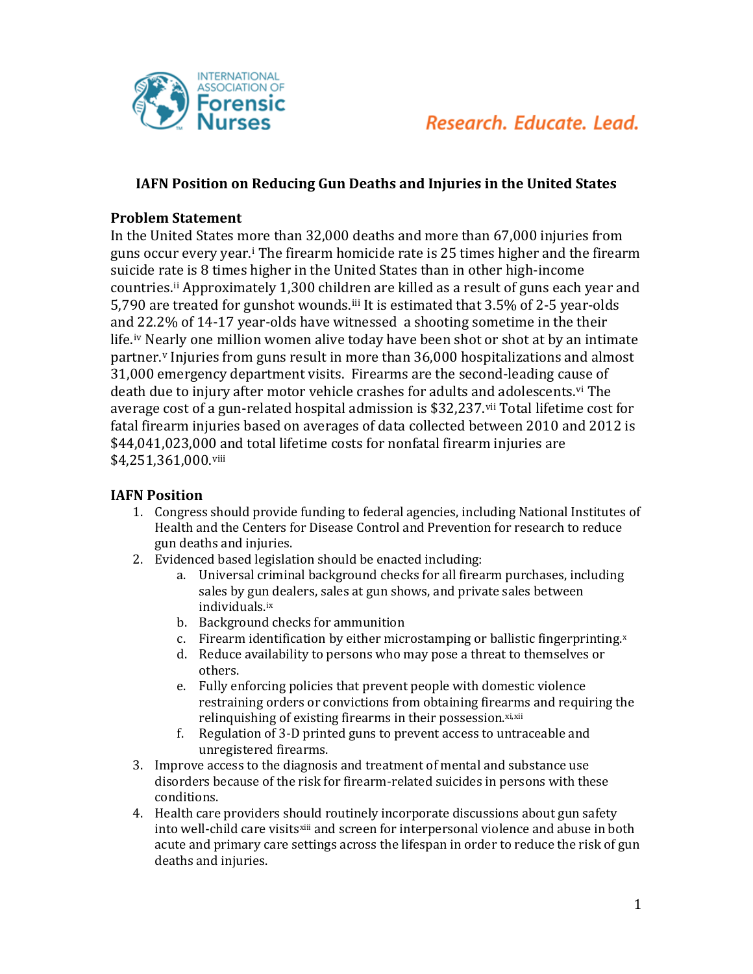

# **IAFN Position on Reducing Gun Deaths and Injuries in the United States**

## **Problem Statement**

In the United States m[o](#page-2-0)re than 32,000 deaths and more than 67,000 injuries from guns occur every year.i The firearm homicide rate is 25 times higher and the firearm suicide rate is 8 times higher in the United States than in other high-income countries.[ii](#page-2-1) Approximately 1,300 children are killed as a result of guns each year and 5,790 are treated for gunshot wounds.[iii](#page-2-2) It is estimated that 3.5% of 2-5 year-olds and 22.2% of 14-17 year-olds have witnessed a shooting sometime in the their life.[iv](#page-2-3) N[ea](#page-2-4)rly one million women alive today have been shot or shot at by an intimate partner. <sup>v</sup> Injuries from guns result in more than 36,000 hospitalizations and almost 31,000 emergency department visits. Firearms are the second-leading ca[us](#page-2-5)e of death due to injury after motor vehicle crashes for adults and adolescents. vi The average cost of a gun-related hospital admission is \$32,237.[vii](#page-2-6) Total lifetime cost for fatal firearm injuries based on averages of data collected between 2010 and 2012 is \$44,041,023,000 and total lifetime costs for nonfatal firearm injuries are \$4,251,361,000.[viii](#page-2-7)

### **IAFN Position**

- 1. Congress should provide funding to federal agencies, including National Institutes of Health and the Centers for Disease Control and Prevention for research to reduce gun deaths and injuries.
- 2. Evidenced based legislation should be enacted including:
	- a. Universal criminal background checks for all firearm purchases, including sales by gun dealers, sales at gun shows, and private sales between individuals.[ix](#page-2-8)
	- b. Background checks for ammunition
	- c. Firearm identification by either microstamping or ballistic fingerprinting.[x](#page-2-9)
	- d. Reduce availability to persons who may pose a threat to themselves or others.
	- e. Fully enforcing policies that prevent people with domestic violence restraining orders or convictions from obtaining firear[m](#page-2-11)s and requiring the relinquishing of existing firearms in their possession.[xi,](#page-2-10)xii
	- f. Regulation of 3-D printed guns to prevent access to untraceable and unregistered firearms.
- 3. Improve access to the diagnosis and treatment of mental and substance use disorders because of the risk for firearm-related suicides in persons with these conditions.
- 4. Health care providers should routinely incorporate discussions about gun safety into well-child care visits[xiii](#page-2-12) and screen for interpersonal violence and abuse in both acute and primary care settings across the lifespan in order to reduce the risk of gun deaths and injuries.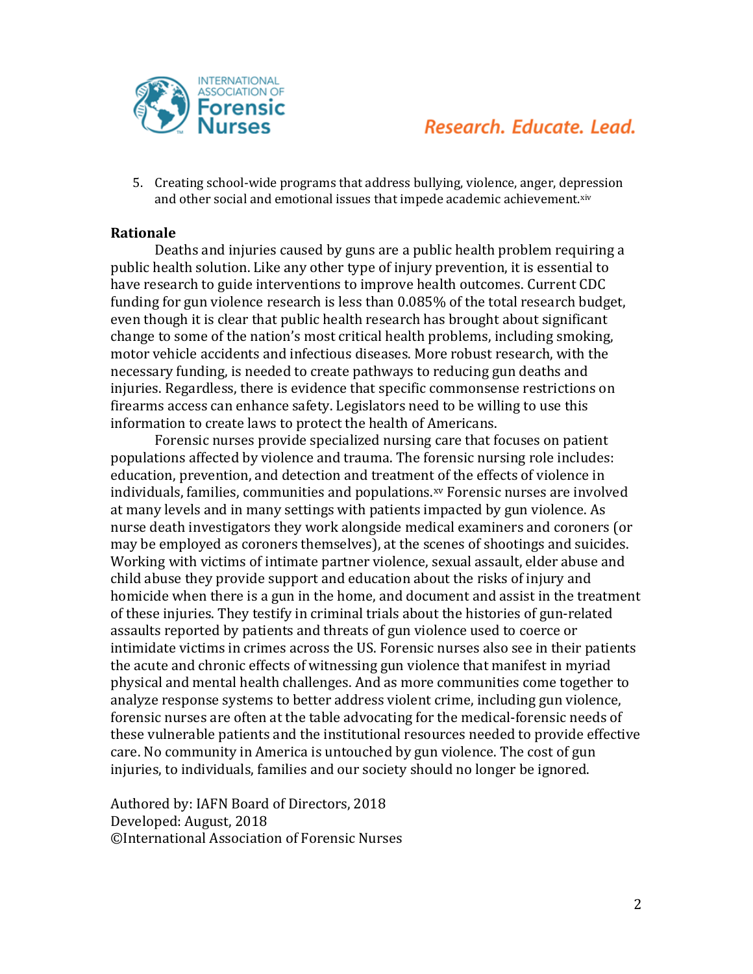

# Research, Educate, Lead.

5. Creating school-wide programs that address bullying, violence, anger, depression and other social and emotional issues that impede academic achievement[.xiv](#page-2-13)

#### **Rationale**

Deaths and injuries caused by guns are a public health problem requiring a public health solution. Like any other type of injury prevention, it is essential to have research to guide interventions to improve health outcomes. Current CDC funding for gun violence research is less than 0.085% of the total research budget, even though it is clear that public health research has brought about significant change to some of the nation's most critical health problems, including smoking, motor vehicle accidents and infectious diseases. More robust research, with the necessary funding, is needed to create pathways to reducing gun deaths and injuries. Regardless, there is evidence that specific commonsense restrictions on firearms access can enhance safety. Legislators need to be willing to use this information to create laws to protect the health of Americans.

Forensic nurses provide specialized nursing care that focuses on patient populations affected by violence and trauma. The forensic nursing role includes: education, prevention, and detection and treatment of the effects of violence in individuals, families, communities and populations.[xv](#page-2-14) Forensic nurses are involved at many levels and in many settings with patients impacted by gun violence. As nurse death investigators they work alongside medical examiners and coroners (or may be employed as coroners themselves), at the scenes of shootings and suicides. Working with victims of intimate partner violence, sexual assault, elder abuse and child abuse they provide support and education about the risks of injury and homicide when there is a gun in the home, and document and assist in the treatment of these injuries. They testify in criminal trials about the histories of gun-related assaults reported by patients and threats of gun violence used to coerce or intimidate victims in crimes across the US. Forensic nurses also see in their patients the acute and chronic effects of witnessing gun violence that manifest in myriad physical and mental health challenges. And as more communities come together to analyze response systems to better address violent crime, including gun violence, forensic nurses are often at the table advocating for the medical-forensic needs of these vulnerable patients and the institutional resources needed to provide effective care. No community in America is untouched by gun violence. The cost of gun injuries, to individuals, families and our society should no longer be ignored.

Authored by: IAFN Board of Directors, 2018 Developed: August, 2018 ©International Association of Forensic Nurses